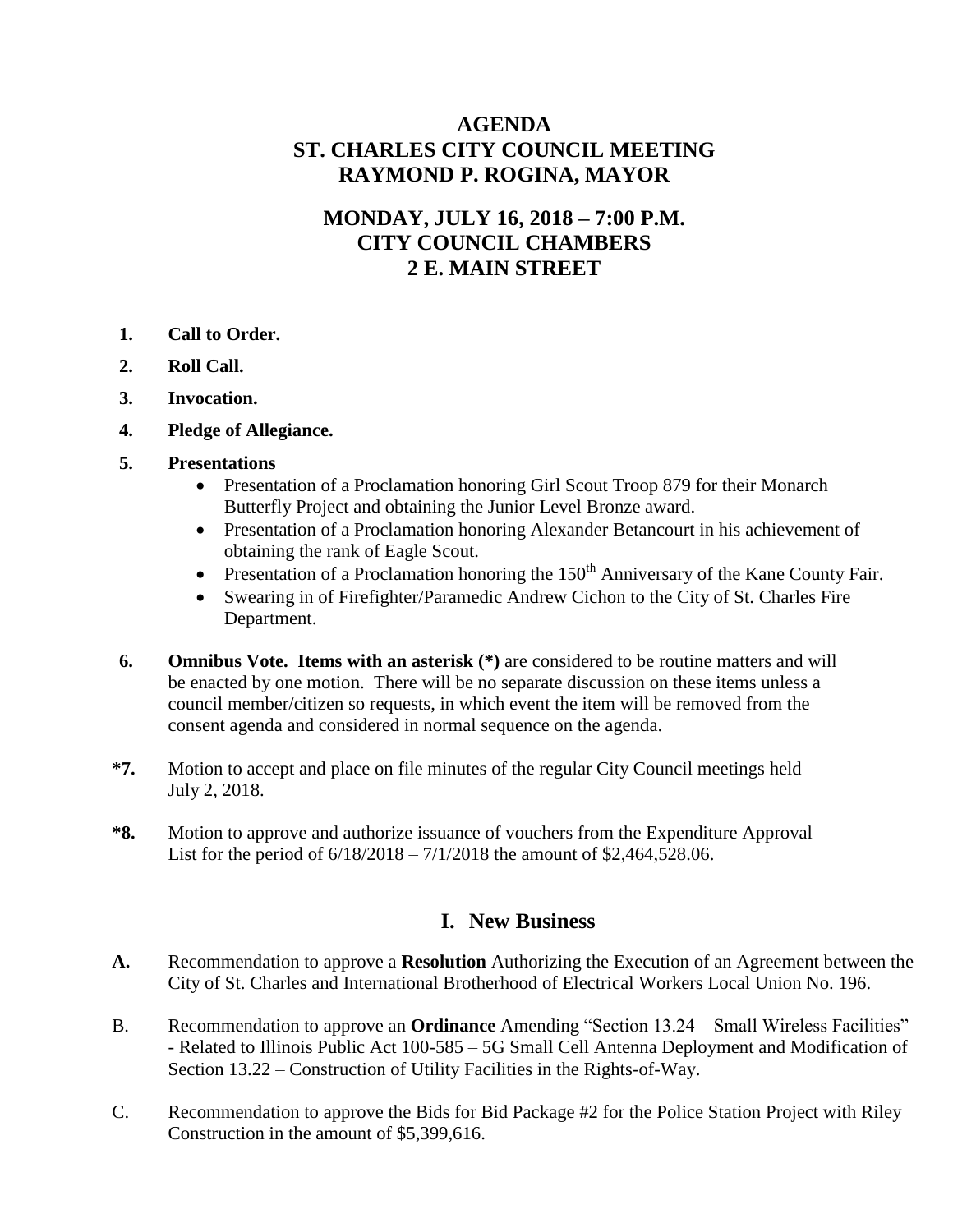# **AGENDA ST. CHARLES CITY COUNCIL MEETING RAYMOND P. ROGINA, MAYOR**

# **MONDAY, JULY 16, 2018 – 7:00 P.M. CITY COUNCIL CHAMBERS 2 E. MAIN STREET**

- **1. Call to Order.**
- **2. Roll Call.**
- **3. Invocation.**
- **4. Pledge of Allegiance.**
- **5. Presentations**
	- Presentation of a Proclamation honoring Girl Scout Troop 879 for their Monarch Butterfly Project and obtaining the Junior Level Bronze award.
	- Presentation of a Proclamation honoring Alexander Betancourt in his achievement of obtaining the rank of Eagle Scout.
	- **•** Presentation of a Proclamation honoring the  $150<sup>th</sup>$  Anniversary of the Kane County Fair.
	- Swearing in of Firefighter/Paramedic Andrew Cichon to the City of St. Charles Fire Department.
- **6. Omnibus Vote. Items with an asterisk (\*)** are considered to be routine matters and will be enacted by one motion. There will be no separate discussion on these items unless a council member/citizen so requests, in which event the item will be removed from the consent agenda and considered in normal sequence on the agenda.
- **\*7.** Motion to accept and place on file minutes of the regular City Council meetings held July 2, 2018.
- **\*8.** Motion to approve and authorize issuance of vouchers from the Expenditure Approval List for the period of 6/18/2018 – 7/1/2018 the amount of \$2,464,528.06.

## **I. New Business**

- **A.** Recommendation to approve a **Resolution** Authorizing the Execution of an Agreement between the City of St. Charles and International Brotherhood of Electrical Workers Local Union No. 196.
- B. Recommendation to approve an **Ordinance** Amending "Section 13.24 Small Wireless Facilities" - Related to Illinois Public Act 100-585 – 5G Small Cell Antenna Deployment and Modification of Section 13.22 – Construction of Utility Facilities in the Rights-of-Way.
- C. Recommendation to approve the Bids for Bid Package #2 for the Police Station Project with Riley Construction in the amount of \$5,399,616.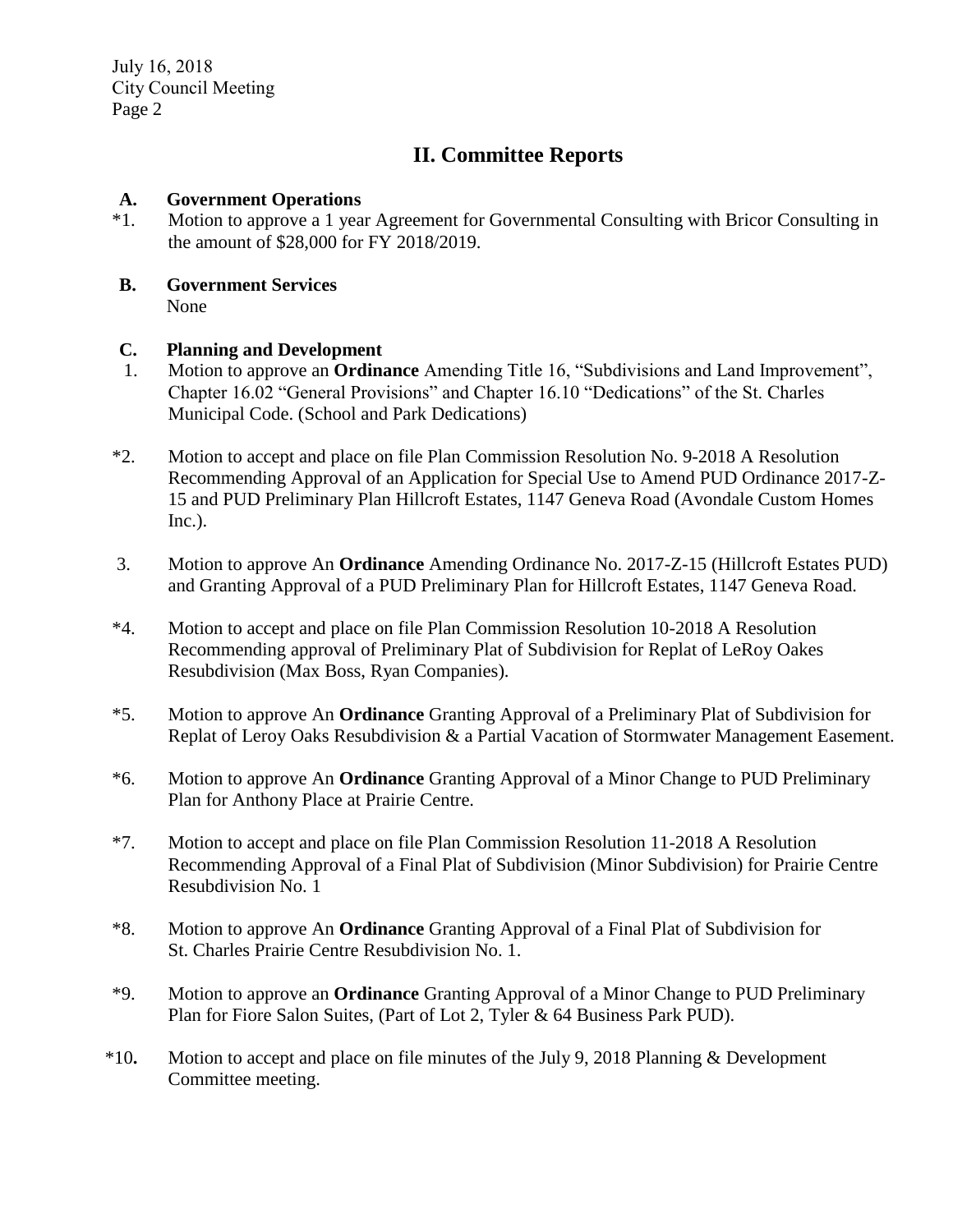July 16, 2018 City Council Meeting Page 2

# **II. Committee Reports**

**A. Government Operations** \*1. **Motion to approve a 1 year** Motion to approve a 1 year Agreement for Governmental Consulting with Bricor Consulting in the amount of \$28,000 for FY 2018/2019.

### **B. Government Services** None

### **C. Planning and Development**

- 1. Motion to approve an **Ordinance** Amending Title 16, "Subdivisions and Land Improvement", Chapter 16.02 "General Provisions" and Chapter 16.10 "Dedications" of the St. Charles Municipal Code. (School and Park Dedications)
- \*2. Motion to accept and place on file Plan Commission Resolution No. 9-2018 A Resolution Recommending Approval of an Application for Special Use to Amend PUD Ordinance 2017-Z-15 and PUD Preliminary Plan Hillcroft Estates, 1147 Geneva Road (Avondale Custom Homes Inc.).
- 3. Motion to approve An **Ordinance** Amending Ordinance No. 2017-Z-15 (Hillcroft Estates PUD) and Granting Approval of a PUD Preliminary Plan for Hillcroft Estates, 1147 Geneva Road.
- \*4. Motion to accept and place on file Plan Commission Resolution 10-2018 A Resolution Recommending approval of Preliminary Plat of Subdivision for Replat of LeRoy Oakes Resubdivision (Max Boss, Ryan Companies).
- \*5. Motion to approve An **Ordinance** Granting Approval of a Preliminary Plat of Subdivision for Replat of Leroy Oaks Resubdivision & a Partial Vacation of Stormwater Management Easement.
- \*6. Motion to approve An **Ordinance** Granting Approval of a Minor Change to PUD Preliminary Plan for Anthony Place at Prairie Centre.
- \*7. Motion to accept and place on file Plan Commission Resolution 11-2018 A Resolution Recommending Approval of a Final Plat of Subdivision (Minor Subdivision) for Prairie Centre Resubdivision No. 1
- \*8. Motion to approve An **Ordinance** Granting Approval of a Final Plat of Subdivision for St. Charles Prairie Centre Resubdivision No. 1.
- \*9. Motion to approve an **Ordinance** Granting Approval of a Minor Change to PUD Preliminary Plan for Fiore Salon Suites, (Part of Lot 2, Tyler & 64 Business Park PUD).
- \*10**.** Motion to accept and place on file minutes of the July 9, 2018 Planning & Development Committee meeting.